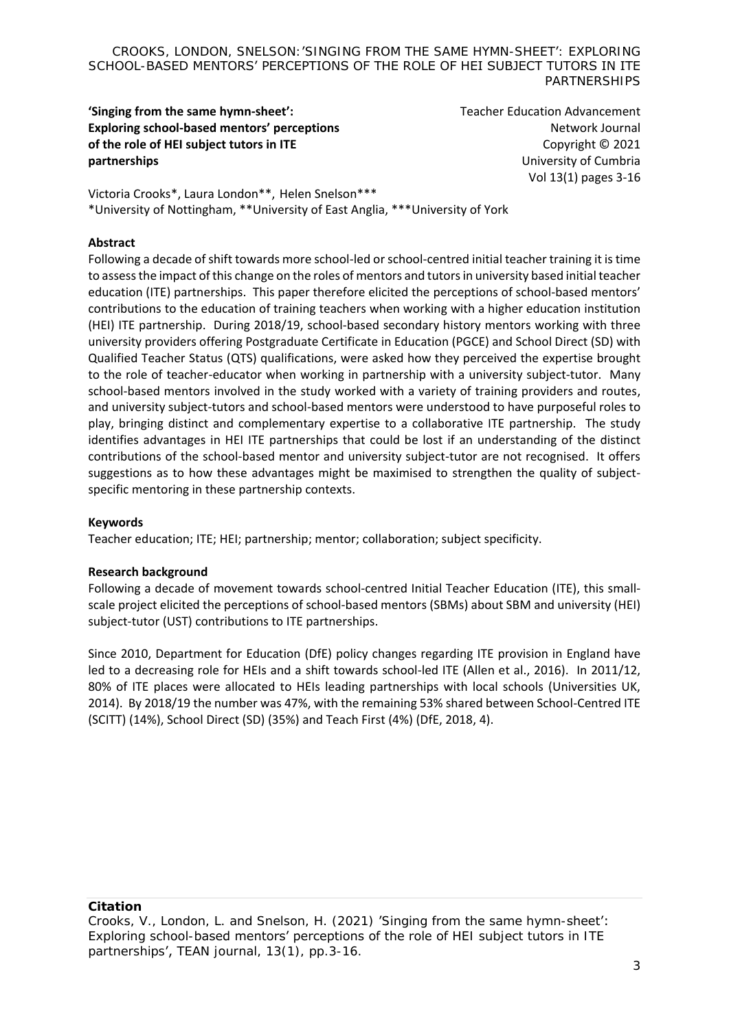**'Singing from the same hymn-sheet': Exploring school-based mentors' perceptions of the role of HEI subject tutors in ITE partnerships**

Teacher Education Advancement Network Journal Copyright © 2021 University of Cumbria Vol 13(1) pages 3-16

Victoria Crooks\*, Laura London\*\*, Helen Snelson\*\*\* \*University of Nottingham, \*\*University of East Anglia, \*\*\*University of York

### **Abstract**

Following a decade of shift towards more school-led or school-centred initial teacher training it is time to assess the impact of this change on the roles of mentors and tutors in university based initial teacher education (ITE) partnerships. This paper therefore elicited the perceptions of school-based mentors' contributions to the education of training teachers when working with a higher education institution (HEI) ITE partnership. During 2018/19, school-based secondary history mentors working with three university providers offering Postgraduate Certificate in Education (PGCE) and School Direct (SD) with Qualified Teacher Status (QTS) qualifications, were asked how they perceived the expertise brought to the role of teacher-educator when working in partnership with a university subject-tutor. Many school-based mentors involved in the study worked with a variety of training providers and routes, and university subject-tutors and school-based mentors were understood to have purposeful roles to play, bringing distinct and complementary expertise to a collaborative ITE partnership. The study identifies advantages in HEI ITE partnerships that could be lost if an understanding of the distinct contributions of the school-based mentor and university subject-tutor are not recognised. It offers suggestions as to how these advantages might be maximised to strengthen the quality of subjectspecific mentoring in these partnership contexts.

### **Keywords**

Teacher education; ITE; HEI; partnership; mentor; collaboration; subject specificity.

#### **Research background**

Following a decade of movement towards school-centred Initial Teacher Education (ITE), this smallscale project elicited the perceptions of school-based mentors (SBMs) about SBM and university (HEI) subject-tutor (UST) contributions to ITE partnerships.

Since 2010, Department for Education (DfE) policy changes regarding ITE provision in England have led to a decreasing role for HEIs and a shift towards school-led ITE (Allen et al., 2016). In 2011/12, 80% of ITE places were allocated to HEIs leading partnerships with local schools (Universities UK, 2014). By 2018/19 the number was 47%, with the remaining 53% shared between School-Centred ITE (SCITT) (14%), School Direct (SD) (35%) and Teach First (4%) (DfE, 2018, 4).

**Citation**

Crooks, V., London, L. and Snelson, H. (2021) 'Singing from the same hymn-sheet': Exploring school-based mentors' perceptions of the role of HEI subject tutors in ITE partnerships', *TEAN journal*, 13(1), pp.3-16.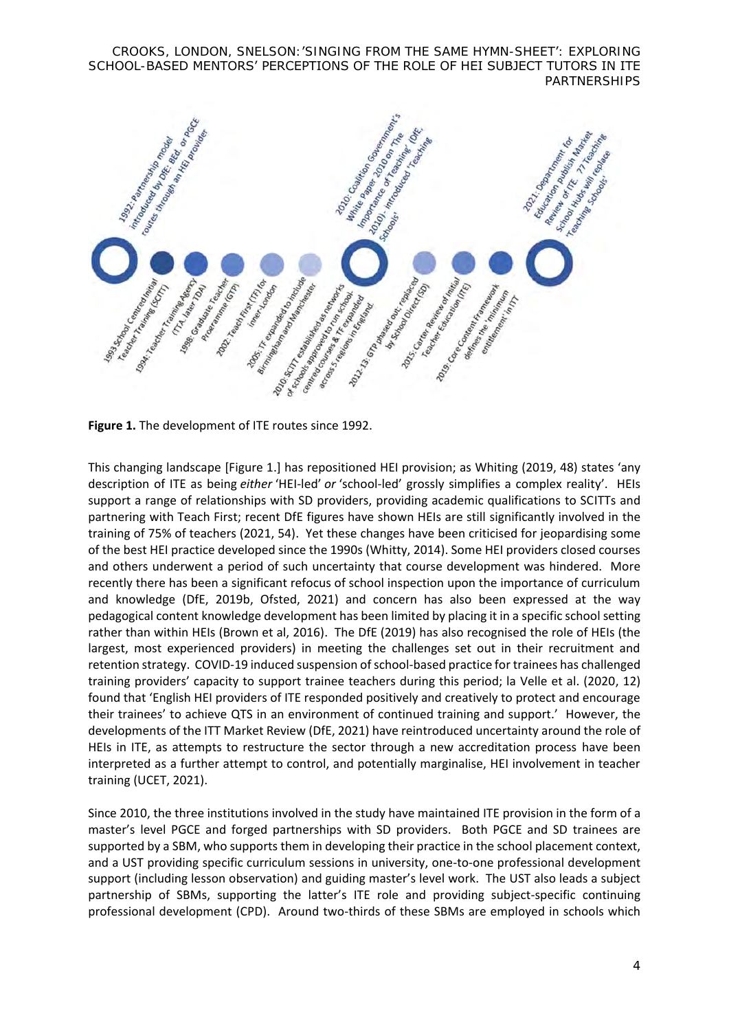

**Figure 1.** The development of ITE routes since 1992.

This changing landscape [Figure 1.] has repositioned HEI provision; as Whiting (2019, 48) states 'any description of ITE as being *either* 'HEI-led' *or* 'school-led' grossly simplifies a complex reality'. HEIs support a range of relationships with SD providers, providing academic qualifications to SCITTs and partnering with Teach First; recent DfE figures have shown HEIs are still significantly involved in the training of 75% of teachers (2021, 54). Yet these changes have been criticised for jeopardising some of the best HEI practice developed since the 1990s (Whitty, 2014). Some HEI providers closed courses and others underwent a period of such uncertainty that course development was hindered. More recently there has been a significant refocus of school inspection upon the importance of curriculum and knowledge (DfE, 2019b, Ofsted, 2021) and concern has also been expressed at the way pedagogical content knowledge development has been limited by placing it in a specific school setting rather than within HEIs (Brown et al, 2016). The DfE (2019) has also recognised the role of HEIs (the largest, most experienced providers) in meeting the challenges set out in their recruitment and retention strategy. COVID-19 induced suspension of school-based practice for trainees has challenged training providers' capacity to support trainee teachers during this period; la Velle et al. (2020, 12) found that 'English HEI providers of ITE responded positively and creatively to protect and encourage their trainees' to achieve QTS in an environment of continued training and support.' However, the developments of the ITT Market Review (DfE, 2021) have reintroduced uncertainty around the role of HEIs in ITE, as attempts to restructure the sector through a new accreditation process have been interpreted as a further attempt to control, and potentially marginalise, HEI involvement in teacher training (UCET, 2021).

Since 2010, the three institutions involved in the study have maintained ITE provision in the form of a master's level PGCE and forged partnerships with SD providers. Both PGCE and SD trainees are supported by a SBM, who supports them in developing their practice in the school placement context, and a UST providing specific curriculum sessions in university, one-to-one professional development support (including lesson observation) and guiding master's level work. The UST also leads a subject partnership of SBMs, supporting the latter's ITE role and providing subject-specific continuing professional development (CPD). Around two-thirds of these SBMs are employed in schools which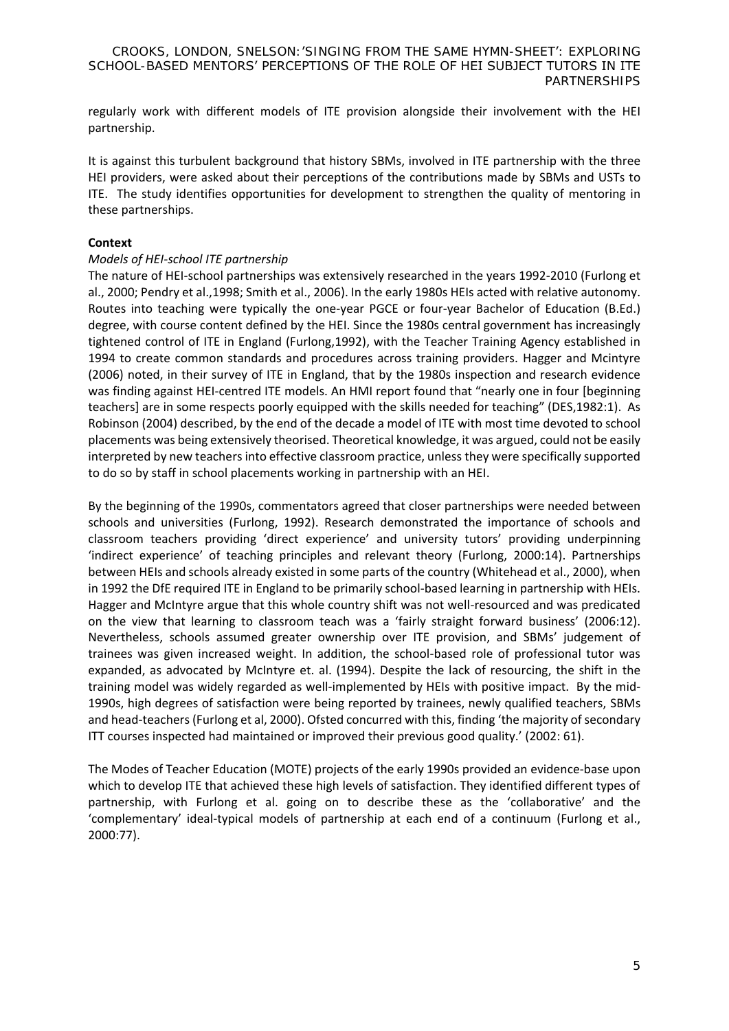regularly work with different models of ITE provision alongside their involvement with the HEI partnership.

It is against this turbulent background that history SBMs, involved in ITE partnership with the three HEI providers, were asked about their perceptions of the contributions made by SBMs and USTs to ITE. The study identifies opportunities for development to strengthen the quality of mentoring in these partnerships.

### **Context**

# *Models of HEI-school ITE partnership*

The nature of HEI-school partnerships was extensively researched in the years 1992-2010 (Furlong et al., 2000; Pendry et al.,1998; Smith et al., 2006). In the early 1980s HEIs acted with relative autonomy. Routes into teaching were typically the one-year PGCE or four-year Bachelor of Education (B.Ed.) degree, with course content defined by the HEI. Since the 1980s central government has increasingly tightened control of ITE in England (Furlong,1992), with the Teacher Training Agency established in 1994 to create common standards and procedures across training providers. Hagger and Mcintyre (2006) noted, in their survey of ITE in England, that by the 1980s inspection and research evidence was finding against HEI-centred ITE models. An HMI report found that "nearly one in four [beginning teachers] are in some respects poorly equipped with the skills needed for teaching" (DES,1982:1). As Robinson (2004) described, by the end of the decade a model of ITE with most time devoted to school placements was being extensively theorised. Theoretical knowledge, it was argued, could not be easily interpreted by new teachers into effective classroom practice, unless they were specifically supported to do so by staff in school placements working in partnership with an HEI.

By the beginning of the 1990s, commentators agreed that closer partnerships were needed between schools and universities (Furlong, 1992). Research demonstrated the importance of schools and classroom teachers providing 'direct experience' and university tutors' providing underpinning 'indirect experience' of teaching principles and relevant theory (Furlong, 2000:14). Partnerships between HEIs and schools already existed in some parts of the country (Whitehead et al., 2000), when in 1992 the DfE required ITE in England to be primarily school-based learning in partnership with HEIs. Hagger and McIntyre argue that this whole country shift was not well-resourced and was predicated on the view that learning to classroom teach was a 'fairly straight forward business' (2006:12). Nevertheless, schools assumed greater ownership over ITE provision, and SBMs' judgement of trainees was given increased weight. In addition, the school-based role of professional tutor was expanded, as advocated by McIntyre et. al. (1994). Despite the lack of resourcing, the shift in the training model was widely regarded as well-implemented by HEIs with positive impact. By the mid-1990s, high degrees of satisfaction were being reported by trainees, newly qualified teachers, SBMs and head-teachers(Furlong et al, 2000). Ofsted concurred with this, finding 'the majority of secondary ITT courses inspected had maintained or improved their previous good quality.' (2002: 61).

The Modes of Teacher Education (MOTE) projects of the early 1990s provided an evidence-base upon which to develop ITE that achieved these high levels of satisfaction. They identified different types of partnership, with Furlong et al. going on to describe these as the 'collaborative' and the 'complementary' ideal-typical models of partnership at each end of a continuum (Furlong et al., 2000:77).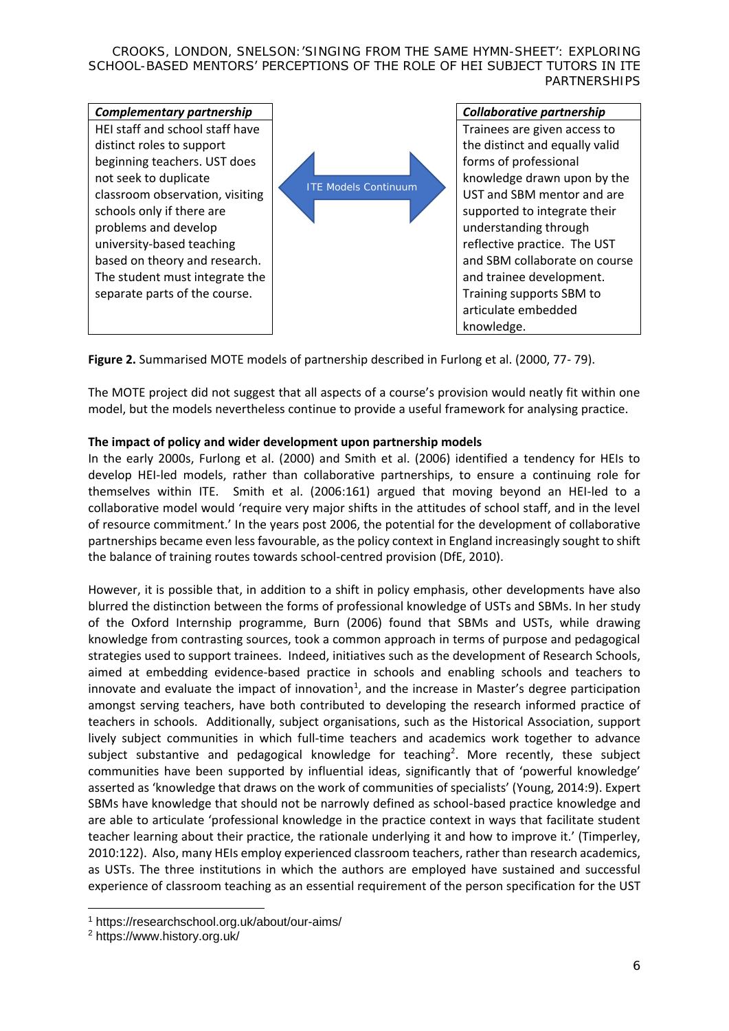

**Figure 2.** Summarised MOTE models of partnership described in Furlong et al. (2000, 77- 79).

The MOTE project did not suggest that all aspects of a course's provision would neatly fit within one model, but the models nevertheless continue to provide a useful framework for analysing practice.

# **The impact of policy and wider development upon partnership models**

In the early 2000s, Furlong et al. (2000) and Smith et al. (2006) identified a tendency for HEIs to develop HEI-led models, rather than collaborative partnerships, to ensure a continuing role for themselves within ITE. Smith et al. (2006:161) argued that moving beyond an HEI-led to a collaborative model would 'require very major shifts in the attitudes of school staff, and in the level of resource commitment.' In the years post 2006, the potential for the development of collaborative partnerships became even less favourable, as the policy context in England increasingly sought to shift the balance of training routes towards school-centred provision (DfE, 2010).

However, it is possible that, in addition to a shift in policy emphasis, other developments have also blurred the distinction between the forms of professional knowledge of USTs and SBMs. In her study of the Oxford Internship programme, Burn (2006) found that SBMs and USTs, while drawing knowledge from contrasting sources, took a common approach in terms of purpose and pedagogical strategies used to support trainees. Indeed, initiatives such as the development of Research Schools, aimed at embedding evidence-based practice in schools and enabling schools and teachers to innovate and evaluate the impact of innovation<sup>1</sup>, and the increase in Master's degree participation amongst serving teachers, have both contributed to developing the research informed practice of teachers in schools. Additionally, subject organisations, such as the Historical Association, support lively subject communities in which full-time teachers and academics work together to advance subject substantive and pedagogical knowledge for teaching<sup>2</sup>. More recently, these subject communities have been supported by influential ideas, significantly that of 'powerful knowledge' asserted as 'knowledge that draws on the work of communities of specialists' (Young, 2014:9). Expert SBMs have knowledge that should not be narrowly defined as school-based practice knowledge and are able to articulate 'professional knowledge in the practice context in ways that facilitate student teacher learning about their practice, the rationale underlying it and how to improve it.' (Timperley, 2010:122). Also, many HEIs employ experienced classroom teachers, rather than research academics, as USTs. The three institutions in which the authors are employed have sustained and successful experience of classroom teaching as an essential requirement of the person specification for the UST

<sup>1</sup> https://researchschool.org.uk/about/our-aims/

<sup>2</sup> https://www.history.org.uk/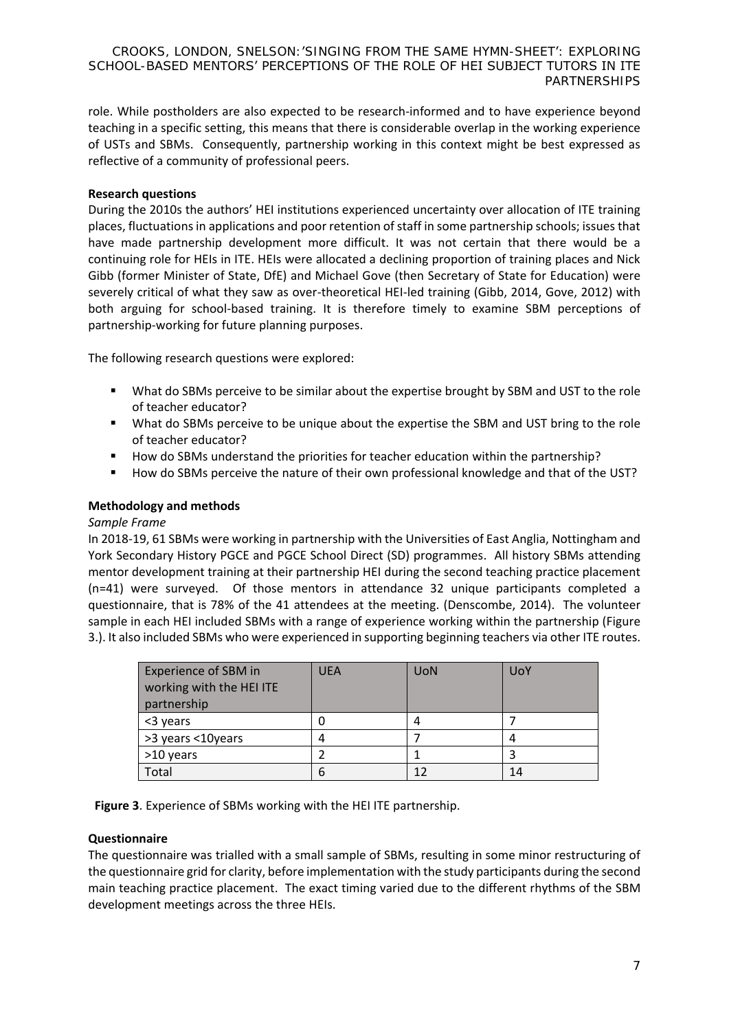role. While postholders are also expected to be research-informed and to have experience beyond teaching in a specific setting, this means that there is considerable overlap in the working experience of USTs and SBMs. Consequently, partnership working in this context might be best expressed as reflective of a community of professional peers.

# **Research questions**

During the 2010s the authors' HEI institutions experienced uncertainty over allocation of ITE training places, fluctuations in applications and poor retention of staff in some partnership schools; issues that have made partnership development more difficult. It was not certain that there would be a continuing role for HEIs in ITE. HEIs were allocated a declining proportion of training places and Nick Gibb (former Minister of State, DfE) and Michael Gove (then Secretary of State for Education) were severely critical of what they saw as over-theoretical HEI-led training (Gibb, 2014, Gove, 2012) with both arguing for school-based training. It is therefore timely to examine SBM perceptions of partnership-working for future planning purposes.

The following research questions were explored:

- What do SBMs perceive to be similar about the expertise brought by SBM and UST to the role of teacher educator?
- What do SBMs perceive to be unique about the expertise the SBM and UST bring to the role of teacher educator?
- How do SBMs understand the priorities for teacher education within the partnership?
- How do SBMs perceive the nature of their own professional knowledge and that of the UST?

# **Methodology and methods**

#### *Sample Frame*

In 2018-19, 61 SBMs were working in partnership with the Universities of East Anglia, Nottingham and York Secondary History PGCE and PGCE School Direct (SD) programmes. All history SBMs attending mentor development training at their partnership HEI during the second teaching practice placement (n=41) were surveyed. Of those mentors in attendance 32 unique participants completed a questionnaire, that is 78% of the 41 attendees at the meeting. (Denscombe, 2014). The volunteer sample in each HEI included SBMs with a range of experience working within the partnership (Figure 3.). It also included SBMs who were experienced in supporting beginning teachers via other ITE routes.

| <b>Experience of SBM in</b><br>working with the HEI ITE<br>partnership | <b>UEA</b> | <b>UoN</b> | UoY |
|------------------------------------------------------------------------|------------|------------|-----|
| <3 years                                                               |            |            |     |
| >3 years <10years                                                      |            |            |     |
| >10 years                                                              |            |            |     |
| Total                                                                  | 6          | 12         | 14  |

**Figure 3**. Experience of SBMs working with the HEI ITE partnership.

# **Questionnaire**

The questionnaire was trialled with a small sample of SBMs, resulting in some minor restructuring of the questionnaire grid for clarity, before implementation with the study participants during the second main teaching practice placement. The exact timing varied due to the different rhythms of the SBM development meetings across the three HEIs.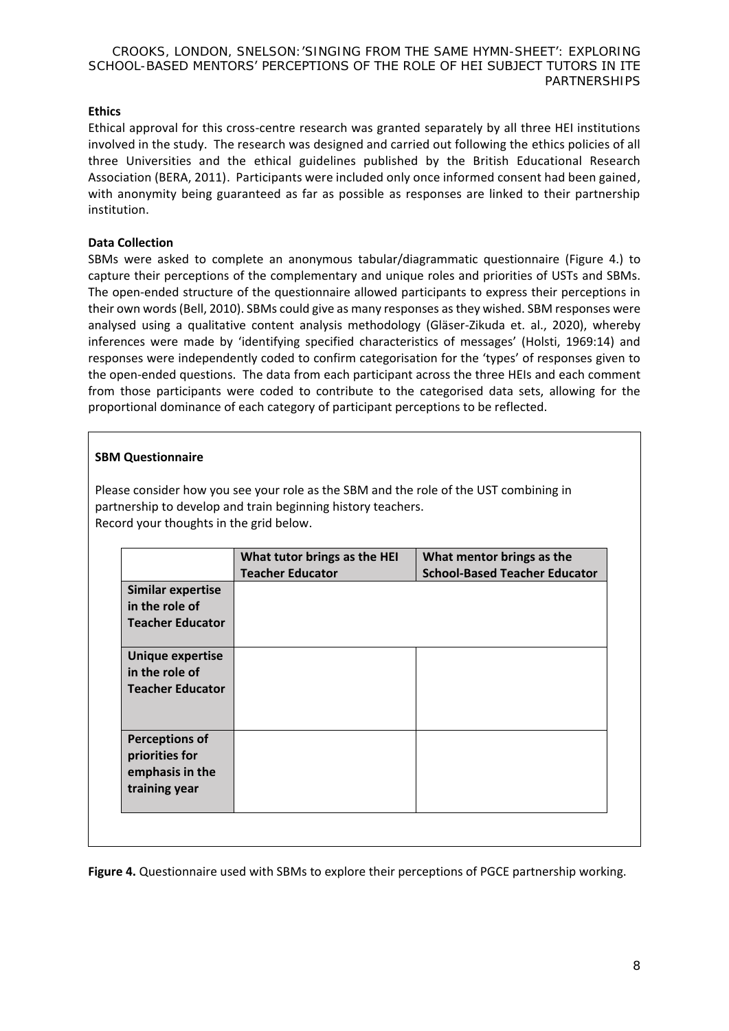# **Ethics**

Ethical approval for this cross-centre research was granted separately by all three HEI institutions involved in the study. The research was designed and carried out following the ethics policies of all three Universities and the ethical guidelines published by the British Educational Research Association (BERA, 2011). Participants were included only once informed consent had been gained, with anonymity being guaranteed as far as possible as responses are linked to their partnership institution.

### **Data Collection**

SBMs were asked to complete an anonymous tabular/diagrammatic questionnaire (Figure 4.) to capture their perceptions of the complementary and unique roles and priorities of USTs and SBMs. The open-ended structure of the questionnaire allowed participants to express their perceptions in their own words (Bell, 2010). SBMs could give as many responses as they wished. SBM responses were analysed using a qualitative content analysis methodology (Gläser-Zikuda et. al., 2020), whereby inferences were made by 'identifying specified characteristics of messages' (Holsti, 1969:14) and responses were independently coded to confirm categorisation for the 'types' of responses given to the open-ended questions. The data from each participant across the three HEIs and each comment from those participants were coded to contribute to the categorised data sets, allowing for the proportional dominance of each category of participant perceptions to be reflected.

# **SBM Questionnaire**

Please consider how you see your role as the SBM and the role of the UST combining in partnership to develop and train beginning history teachers. Record your thoughts in the grid below.

|                                                                             | What tutor brings as the HEI<br><b>Teacher Educator</b> | What mentor brings as the<br><b>School-Based Teacher Educator</b> |
|-----------------------------------------------------------------------------|---------------------------------------------------------|-------------------------------------------------------------------|
| <b>Similar expertise</b><br>in the role of<br><b>Teacher Educator</b>       |                                                         |                                                                   |
| <b>Unique expertise</b><br>in the role of<br><b>Teacher Educator</b>        |                                                         |                                                                   |
| <b>Perceptions of</b><br>priorities for<br>emphasis in the<br>training year |                                                         |                                                                   |

**Figure 4.** Questionnaire used with SBMs to explore their perceptions of PGCE partnership working.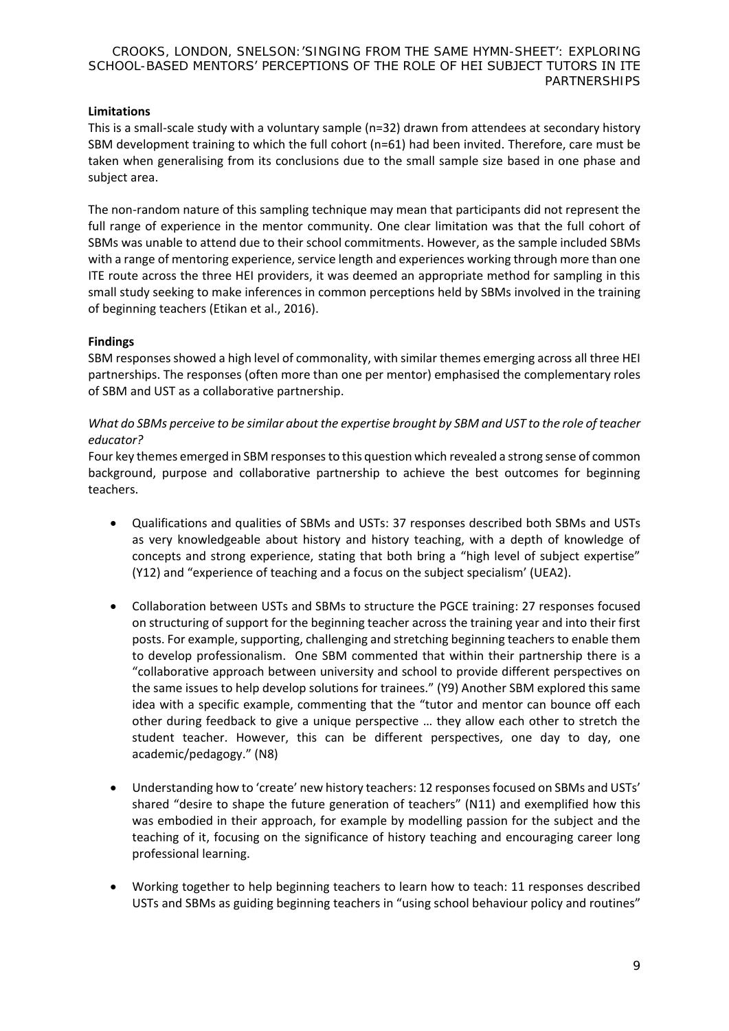# **Limitations**

This is a small-scale study with a voluntary sample (n=32) drawn from attendees at secondary history SBM development training to which the full cohort (n=61) had been invited. Therefore, care must be taken when generalising from its conclusions due to the small sample size based in one phase and subject area.

The non-random nature of this sampling technique may mean that participants did not represent the full range of experience in the mentor community. One clear limitation was that the full cohort of SBMs was unable to attend due to their school commitments. However, as the sample included SBMs with a range of mentoring experience, service length and experiences working through more than one ITE route across the three HEI providers, it was deemed an appropriate method for sampling in this small study seeking to make inferences in common perceptions held by SBMs involved in the training of beginning teachers (Etikan et al., 2016).

# **Findings**

SBM responses showed a high level of commonality, with similar themes emerging across all three HEI partnerships. The responses (often more than one per mentor) emphasised the complementary roles of SBM and UST as a collaborative partnership.

# *What do SBMs perceive to be similar about the expertise brought by SBM and UST to the role of teacher educator?*

Four key themes emerged in SBM responses to this question which revealed a strong sense of common background, purpose and collaborative partnership to achieve the best outcomes for beginning teachers.

- Qualifications and qualities of SBMs and USTs: 37 responses described both SBMs and USTs as very knowledgeable about history and history teaching, with a depth of knowledge of concepts and strong experience, stating that both bring a "high level of subject expertise" (Y12) and "experience of teaching and a focus on the subject specialism' (UEA2).
- Collaboration between USTs and SBMs to structure the PGCE training: 27 responses focused on structuring of support for the beginning teacher across the training year and into their first posts. For example, supporting, challenging and stretching beginning teachers to enable them to develop professionalism. One SBM commented that within their partnership there is a "collaborative approach between university and school to provide different perspectives on the same issues to help develop solutions for trainees." (Y9) Another SBM explored this same idea with a specific example, commenting that the "tutor and mentor can bounce off each other during feedback to give a unique perspective … they allow each other to stretch the student teacher. However, this can be different perspectives, one day to day, one academic/pedagogy." (N8)
- Understanding how to 'create' new history teachers: 12 responses focused on SBMs and USTs' shared "desire to shape the future generation of teachers" (N11) and exemplified how this was embodied in their approach, for example by modelling passion for the subject and the teaching of it, focusing on the significance of history teaching and encouraging career long professional learning.
- Working together to help beginning teachers to learn how to teach: 11 responses described USTs and SBMs as guiding beginning teachers in "using school behaviour policy and routines"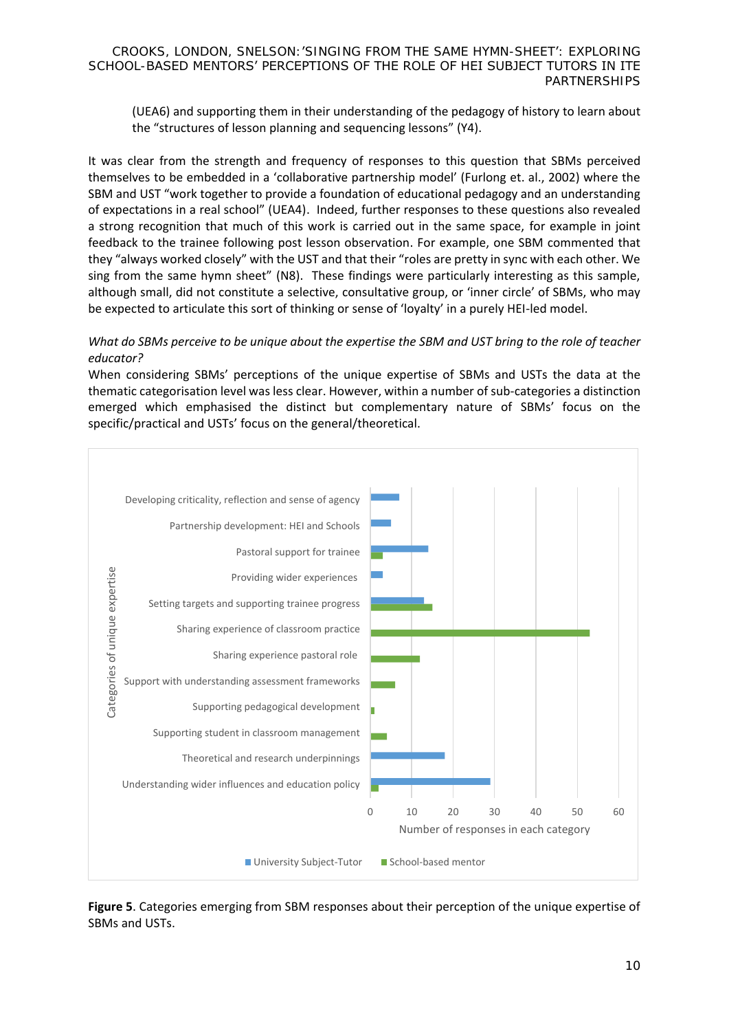(UEA6) and supporting them in their understanding of the pedagogy of history to learn about the "structures of lesson planning and sequencing lessons" (Y4).

It was clear from the strength and frequency of responses to this question that SBMs perceived themselves to be embedded in a 'collaborative partnership model' (Furlong et. al., 2002) where the SBM and UST "work together to provide a foundation of educational pedagogy and an understanding of expectations in a real school" (UEA4). Indeed, further responses to these questions also revealed a strong recognition that much of this work is carried out in the same space, for example in joint feedback to the trainee following post lesson observation. For example, one SBM commented that they "always worked closely" with the UST and that their "roles are pretty in sync with each other. We sing from the same hymn sheet" (N8). These findings were particularly interesting as this sample, although small, did not constitute a selective, consultative group, or 'inner circle' of SBMs, who may be expected to articulate this sort of thinking or sense of 'loyalty' in a purely HEI-led model.

# *What do SBMs perceive to be unique about the expertise the SBM and UST bring to the role of teacher educator?*

When considering SBMs' perceptions of the unique expertise of SBMs and USTs the data at the thematic categorisation level was less clear. However, within a number of sub-categories a distinction emerged which emphasised the distinct but complementary nature of SBMs' focus on the specific/practical and USTs' focus on the general/theoretical.



**Figure 5**. Categories emerging from SBM responses about their perception of the unique expertise of SBMs and USTs.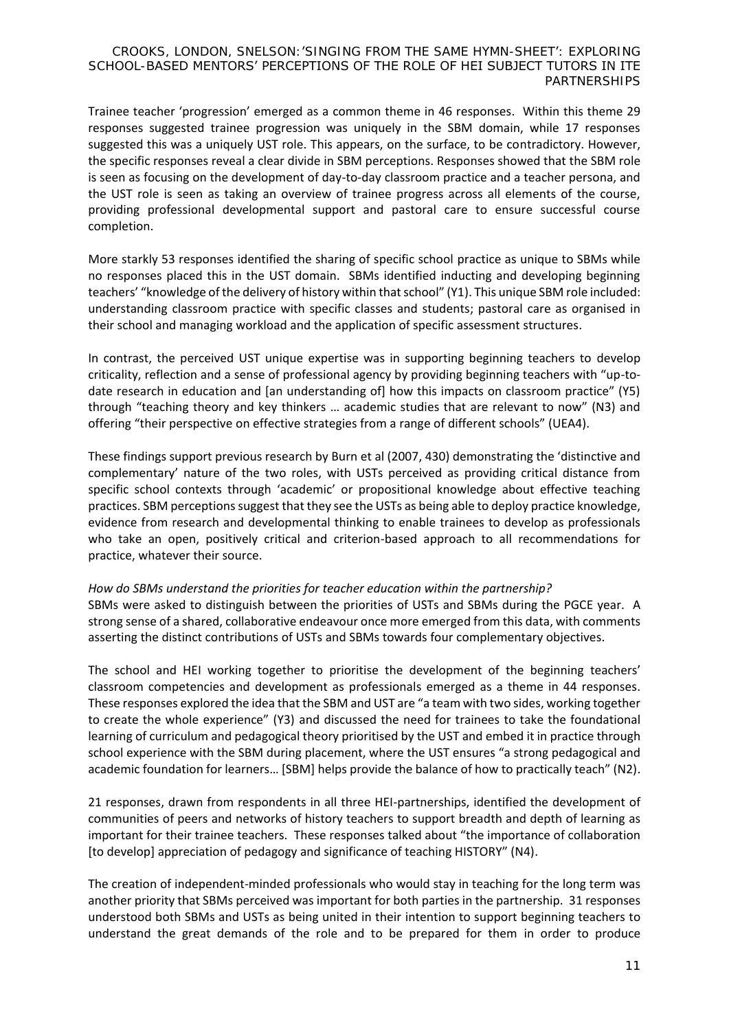Trainee teacher 'progression' emerged as a common theme in 46 responses. Within this theme 29 responses suggested trainee progression was uniquely in the SBM domain, while 17 responses suggested this was a uniquely UST role. This appears, on the surface, to be contradictory. However, the specific responses reveal a clear divide in SBM perceptions. Responses showed that the SBM role is seen as focusing on the development of day-to-day classroom practice and a teacher persona, and the UST role is seen as taking an overview of trainee progress across all elements of the course, providing professional developmental support and pastoral care to ensure successful course completion.

More starkly 53 responses identified the sharing of specific school practice as unique to SBMs while no responses placed this in the UST domain. SBMs identified inducting and developing beginning teachers' "knowledge of the delivery of history within that school" (Y1). This unique SBM role included: understanding classroom practice with specific classes and students; pastoral care as organised in their school and managing workload and the application of specific assessment structures.

In contrast, the perceived UST unique expertise was in supporting beginning teachers to develop criticality, reflection and a sense of professional agency by providing beginning teachers with "up-todate research in education and [an understanding of] how this impacts on classroom practice" (Y5) through "teaching theory and key thinkers … academic studies that are relevant to now" (N3) and offering "their perspective on effective strategies from a range of different schools" (UEA4).

These findings support previous research by Burn et al (2007, 430) demonstrating the 'distinctive and complementary' nature of the two roles, with USTs perceived as providing critical distance from specific school contexts through 'academic' or propositional knowledge about effective teaching practices. SBM perceptions suggest that they see the USTs as being able to deploy practice knowledge, evidence from research and developmental thinking to enable trainees to develop as professionals who take an open, positively critical and criterion-based approach to all recommendations for practice, whatever their source.

# *How do SBMs understand the priorities for teacher education within the partnership?*

SBMs were asked to distinguish between the priorities of USTs and SBMs during the PGCE year. A strong sense of a shared, collaborative endeavour once more emerged from this data, with comments asserting the distinct contributions of USTs and SBMs towards four complementary objectives.

The school and HEI working together to prioritise the development of the beginning teachers' classroom competencies and development as professionals emerged as a theme in 44 responses. These responses explored the idea that the SBM and UST are "a team with two sides, working together to create the whole experience" (Y3) and discussed the need for trainees to take the foundational learning of curriculum and pedagogical theory prioritised by the UST and embed it in practice through school experience with the SBM during placement, where the UST ensures "a strong pedagogical and academic foundation for learners… [SBM] helps provide the balance of how to practically teach" (N2).

21 responses, drawn from respondents in all three HEI-partnerships, identified the development of communities of peers and networks of history teachers to support breadth and depth of learning as important for their trainee teachers. These responses talked about "the importance of collaboration [to develop] appreciation of pedagogy and significance of teaching HISTORY" (N4).

The creation of independent-minded professionals who would stay in teaching for the long term was another priority that SBMs perceived was important for both parties in the partnership. 31 responses understood both SBMs and USTs as being united in their intention to support beginning teachers to understand the great demands of the role and to be prepared for them in order to produce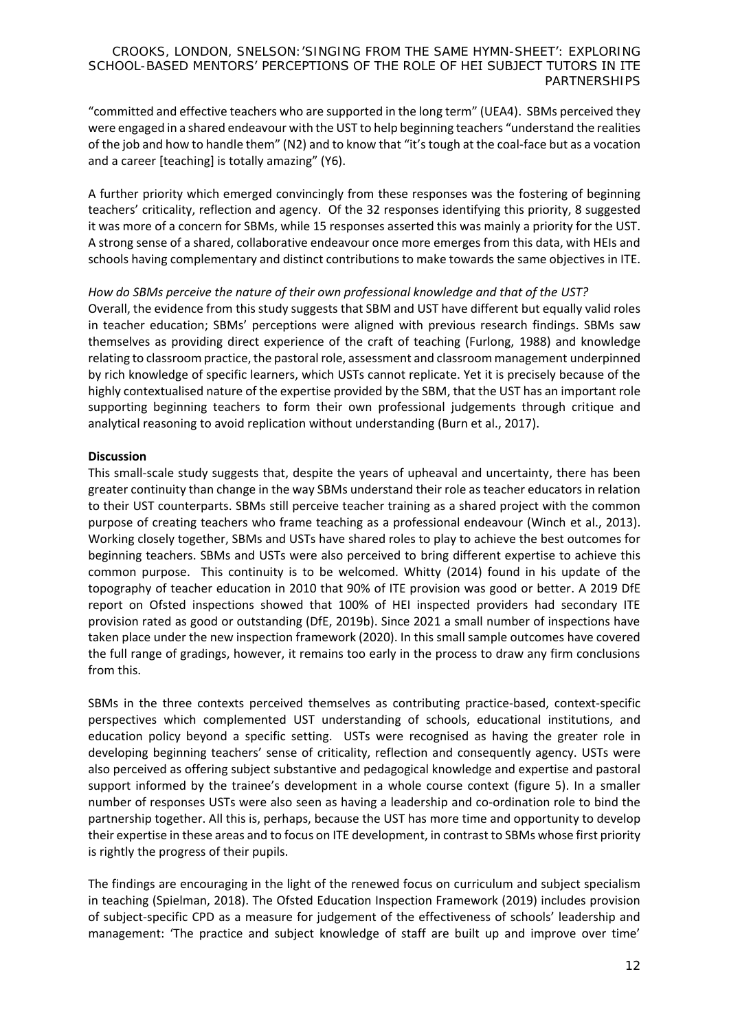"committed and effective teachers who are supported in the long term" (UEA4). SBMs perceived they were engaged in a shared endeavour with the UST to help beginning teachers "understand the realities of the job and how to handle them" (N2) and to know that "it's tough at the coal-face but as a vocation and a career [teaching] is totally amazing" (Y6).

A further priority which emerged convincingly from these responses was the fostering of beginning teachers' criticality, reflection and agency. Of the 32 responses identifying this priority, 8 suggested it was more of a concern for SBMs, while 15 responses asserted this was mainly a priority for the UST. A strong sense of a shared, collaborative endeavour once more emerges from this data, with HEIs and schools having complementary and distinct contributions to make towards the same objectives in ITE.

# *How do SBMs perceive the nature of their own professional knowledge and that of the UST?*

Overall, the evidence from this study suggests that SBM and UST have different but equally valid roles in teacher education; SBMs' perceptions were aligned with previous research findings. SBMs saw themselves as providing direct experience of the craft of teaching (Furlong, 1988) and knowledge relating to classroom practice, the pastoral role, assessment and classroom management underpinned by rich knowledge of specific learners, which USTs cannot replicate. Yet it is precisely because of the highly contextualised nature of the expertise provided by the SBM, that the UST has an important role supporting beginning teachers to form their own professional judgements through critique and analytical reasoning to avoid replication without understanding (Burn et al., 2017).

# **Discussion**

This small-scale study suggests that, despite the years of upheaval and uncertainty, there has been greater continuity than change in the way SBMs understand their role as teacher educators in relation to their UST counterparts. SBMs still perceive teacher training as a shared project with the common purpose of creating teachers who frame teaching as a professional endeavour (Winch et al., 2013). Working closely together, SBMs and USTs have shared roles to play to achieve the best outcomes for beginning teachers. SBMs and USTs were also perceived to bring different expertise to achieve this common purpose. This continuity is to be welcomed. Whitty (2014) found in his update of the topography of teacher education in 2010 that 90% of ITE provision was good or better. A 2019 DfE report on Ofsted inspections showed that 100% of HEI inspected providers had secondary ITE provision rated as good or outstanding (DfE, 2019b). Since 2021 a small number of inspections have taken place under the new inspection framework (2020). In this small sample outcomes have covered the full range of gradings, however, it remains too early in the process to draw any firm conclusions from this.

SBMs in the three contexts perceived themselves as contributing practice-based, context-specific perspectives which complemented UST understanding of schools, educational institutions, and education policy beyond a specific setting. USTs were recognised as having the greater role in developing beginning teachers' sense of criticality, reflection and consequently agency. USTs were also perceived as offering subject substantive and pedagogical knowledge and expertise and pastoral support informed by the trainee's development in a whole course context (figure 5). In a smaller number of responses USTs were also seen as having a leadership and co-ordination role to bind the partnership together. All this is, perhaps, because the UST has more time and opportunity to develop their expertise in these areas and to focus on ITE development, in contrast to SBMs whose first priority is rightly the progress of their pupils.

The findings are encouraging in the light of the renewed focus on curriculum and subject specialism in teaching (Spielman, 2018). The Ofsted Education Inspection Framework (2019) includes provision of subject-specific CPD as a measure for judgement of the effectiveness of schools' leadership and management: 'The practice and subject knowledge of staff are built up and improve over time'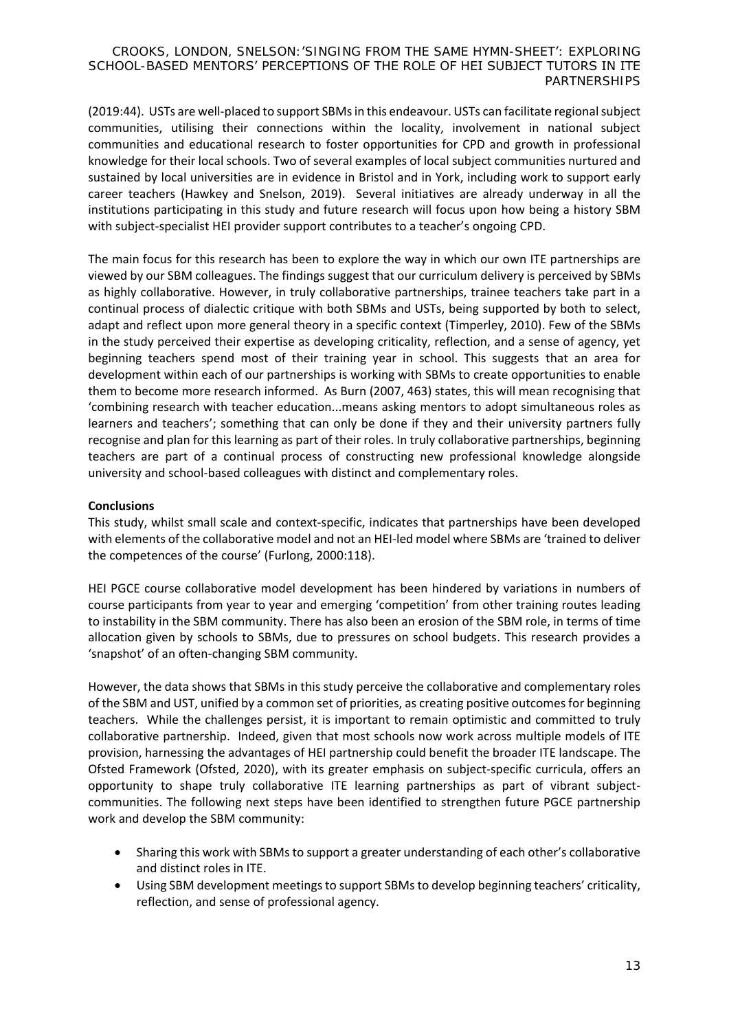(2019:44). USTs are well-placed to support SBMs in this endeavour. USTs can facilitate regional subject communities, utilising their connections within the locality, involvement in national subject communities and educational research to foster opportunities for CPD and growth in professional knowledge for their local schools. Two of several examples of local subject communities nurtured and sustained by local universities are in evidence in Bristol and in York, including work to support early career teachers (Hawkey and Snelson, 2019). Several initiatives are already underway in all the institutions participating in this study and future research will focus upon how being a history SBM with subject-specialist HEI provider support contributes to a teacher's ongoing CPD.

The main focus for this research has been to explore the way in which our own ITE partnerships are viewed by our SBM colleagues. The findings suggest that our curriculum delivery is perceived by SBMs as highly collaborative. However, in truly collaborative partnerships, trainee teachers take part in a continual process of dialectic critique with both SBMs and USTs, being supported by both to select, adapt and reflect upon more general theory in a specific context (Timperley, 2010). Few of the SBMs in the study perceived their expertise as developing criticality, reflection, and a sense of agency, yet beginning teachers spend most of their training year in school. This suggests that an area for development within each of our partnerships is working with SBMs to create opportunities to enable them to become more research informed. As Burn (2007, 463) states, this will mean recognising that 'combining research with teacher education...means asking mentors to adopt simultaneous roles as learners and teachers'; something that can only be done if they and their university partners fully recognise and plan for this learning as part of their roles. In truly collaborative partnerships, beginning teachers are part of a continual process of constructing new professional knowledge alongside university and school-based colleagues with distinct and complementary roles.

# **Conclusions**

This study, whilst small scale and context-specific, indicates that partnerships have been developed with elements of the collaborative model and not an HEI-led model where SBMs are 'trained to deliver the competences of the course' (Furlong, 2000:118).

HEI PGCE course collaborative model development has been hindered by variations in numbers of course participants from year to year and emerging 'competition' from other training routes leading to instability in the SBM community. There has also been an erosion of the SBM role, in terms of time allocation given by schools to SBMs, due to pressures on school budgets. This research provides a 'snapshot' of an often-changing SBM community.

However, the data shows that SBMs in this study perceive the collaborative and complementary roles of the SBM and UST, unified by a common set of priorities, as creating positive outcomes for beginning teachers. While the challenges persist, it is important to remain optimistic and committed to truly collaborative partnership. Indeed, given that most schools now work across multiple models of ITE provision, harnessing the advantages of HEI partnership could benefit the broader ITE landscape. The Ofsted Framework (Ofsted, 2020), with its greater emphasis on subject-specific curricula, offers an opportunity to shape truly collaborative ITE learning partnerships as part of vibrant subjectcommunities. The following next steps have been identified to strengthen future PGCE partnership work and develop the SBM community:

- Sharing this work with SBMs to support a greater understanding of each other's collaborative and distinct roles in ITE.
- Using SBM development meetings to support SBMsto develop beginning teachers' criticality, reflection, and sense of professional agency.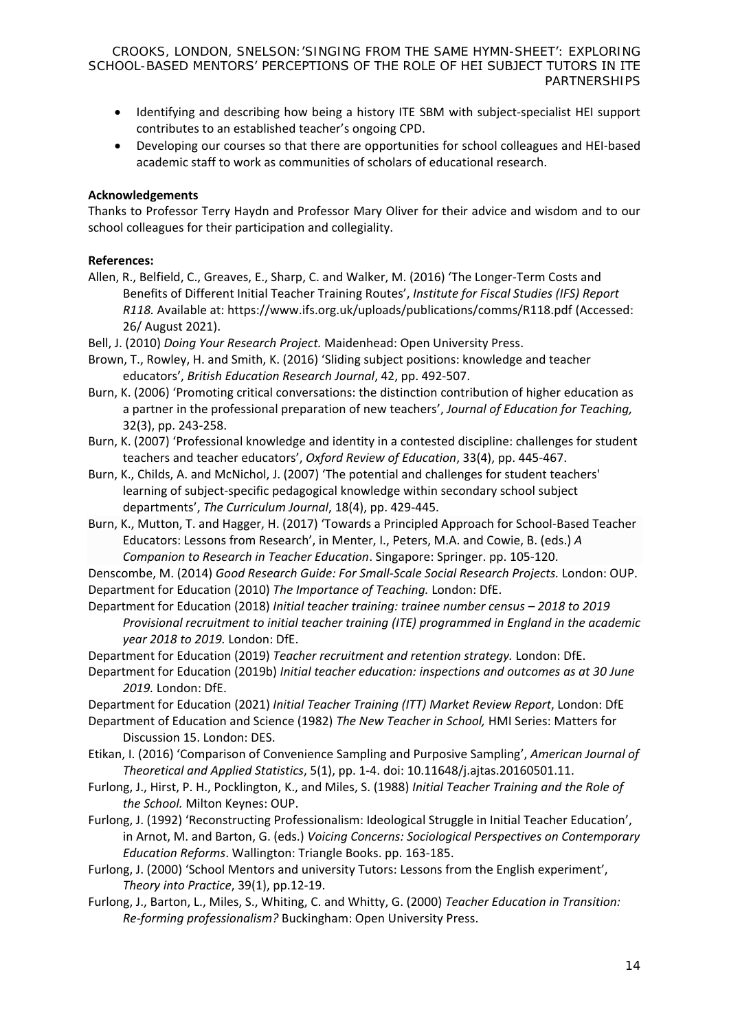- Identifying and describing how being a history ITE SBM with subject-specialist HEI support contributes to an established teacher's ongoing CPD.
- Developing our courses so that there are opportunities for school colleagues and HEI-based academic staff to work as communities of scholars of educational research.

### **Acknowledgements**

Thanks to Professor Terry Haydn and Professor Mary Oliver for their advice and wisdom and to our school colleagues for their participation and collegiality.

# **References:**

- Allen, R., Belfield, C., Greaves, E., Sharp, C. and Walker, M. (2016) 'The Longer-Term Costs and Benefits of Different Initial Teacher Training Routes', *Institute for Fiscal Studies (IFS) Report R118.* Available at: <https://www.ifs.org.uk/uploads/publications/comms/R118.pdf> (Accessed: 26/ August 2021).
- Bell, J. (2010) *Doing Your Research Project.* Maidenhead: Open University Press.
- Brown, T., Rowley, H. and Smith, K. (2016) 'Sliding subject positions: knowledge and teacher educators', *British Education Research Journal*, 42, pp. 492-507.
- Burn, K. (2006) 'Promoting critical conversations: the distinction contribution of higher education as a partner in the professional preparation of new teachers', *Journal of Education for Teaching,*  32(3), pp. 243-258.
- Burn, K. (2007) 'Professional knowledge and identity in a contested discipline: challenges for student teachers and teacher educators', *Oxford Review of Education*, 33(4), pp. 445-467.
- Burn, K., Childs, A. and McNichol, J. (2007) 'The potential and challenges for student teachers' learning of subject-specific pedagogical knowledge within secondary school subject departments', *The Curriculum Journal*, 18(4), pp. 429-445.
- Burn, K., Mutton, T. and Hagger, H. (2017) 'Towards a Principled Approach for School-Based Teacher Educators: Lessons from Research', in Menter, I., Peters, M.A. and Cowie, B. (eds.) *[A](https://link.springer.com/chapter/10.1007/978-981-10-4075-7_1)  [Companion to Research in Teacher Education](https://link.springer.com/chapter/10.1007/978-981-10-4075-7_1)*. Singapore: Springer. pp. 105-120.
- Denscombe, M. (2014) *Good Research Guide: For Small-Scale Social Research Projects.* London: OUP. Department for Education (2010) *The Importance of Teaching.* London: DfE.
- Department for Education (2018) *Initial teacher training: trainee number census 2018 to 2019 Provisional recruitment to initial teacher training (ITE) programmed in England in the academic year 2018 to 2019.* London: DfE.
- Department for Education (2019) *Teacher recruitment and retention strategy.* London: DfE.
- Department for Education (2019b) *Initial teacher education: inspections and outcomes as at 30 June 2019.* London: DfE.

Department for Education (2021) *Initial Teacher Training (ITT) Market Review Report*, London: DfE

- Department of Education and Science (1982) *The New Teacher in School,* HMI Series: Matters for Discussion 15. London: DES.
- Etikan, I. (2016) 'Comparison of Convenience Sampling and Purposive Sampling', *American Journal of Theoretical and Applied Statistics*, 5(1), pp. 1-4. doi: 10.11648/j.ajtas.20160501.11.
- Furlong, J., Hirst, P. H., Pocklington, K., and Miles, S. (1988) *Initial Teacher Training and the Role of the School.* Milton Keynes: OUP.
- Furlong, J. (1992) 'Reconstructing Professionalism: Ideological Struggle in Initial Teacher Education', in Arnot, M. and Barton, G. (eds.) *Voicing Concerns: Sociological Perspectives on Contemporary Education Reforms*. Wallington: Triangle Books. pp. 163-185.
- Furlong, J. (2000) 'School Mentors and university Tutors: Lessons from the English experiment', *Theory into Practice*, 39(1), pp.12-19.
- Furlong, J., Barton, L., Miles, S., Whiting, C. and Whitty, G. (2000) *Teacher Education in Transition: Re-forming professionalism?* Buckingham: Open University Press.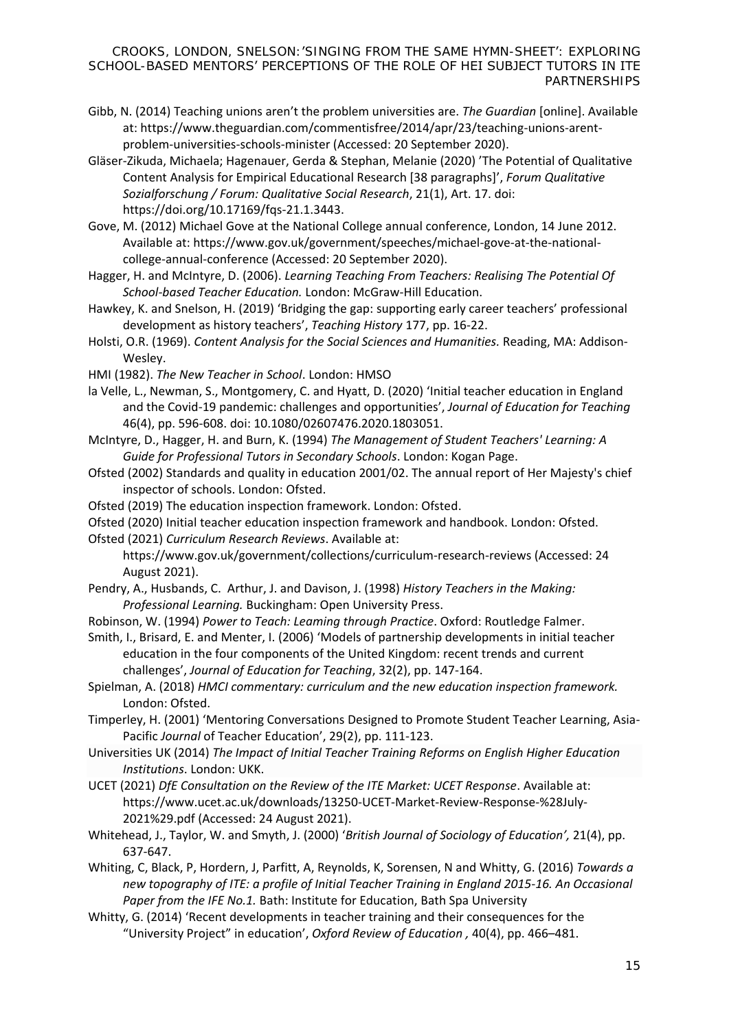- Gibb, N. (2014) Teaching unions aren't the problem universities are. *The Guardian* [online]. Available at: [https://www.theguardian.com/commentisfree/2014/apr/23/teaching-unions-arent](https://www.theguardian.com/commentisfree/2014/apr/23/teaching-unions-arent-problem-universities-schools-minister)[problem-universities-schools-minister](https://www.theguardian.com/commentisfree/2014/apr/23/teaching-unions-arent-problem-universities-schools-minister) (Accessed: 20 September 2020).
- Gläser-Zikuda, Michaela; Hagenauer, Gerda & Stephan, Melanie (2020) 'The Potential of Qualitative Content Analysis for Empirical Educational Research [38 paragraphs]', *Forum Qualitative Sozialforschung / Forum: Qualitative Social Research*, 21(1), Art. 17. doi: https://doi.org/10.17169/fqs-21.1.3443.

Gove, M. (2012) Michael Gove at the National College annual conference, London, 14 June 2012. Available at: [https://www.gov.uk/government/speeches/michael-gove-at-the-national](https://www.gov.uk/government/speeches/michael-gove-at-the-national-college-annual-conference)[college-annual-conference](https://www.gov.uk/government/speeches/michael-gove-at-the-national-college-annual-conference) (Accessed: 20 September 2020).

Hagger, H. and McIntyre, D. (2006). *Learning Teaching From Teachers: Realising The Potential Of School-based Teacher Education.* London: McGraw-Hill Education.

Hawkey, K. and Snelson, H. (2019) 'Bridging the gap: supporting early career teachers' professional development as history teachers', *Teaching History* 177, pp. 16-22.

- Holsti, O.R. (1969). *Content Analysis for the Social Sciences and Humanities.* Reading, MA: Addison-Wesley.
- HMI (1982). *The New Teacher in School*. London: HMSO

la Velle, L., Newman, S., Montgomery, C. and Hyatt, D. (2020) 'Initial teacher education in England and the Covid-19 pandemic: challenges and opportunities', *Journal of Education for Teaching* 46(4), pp. 596-608. doi: 10.1080/02607476.2020.1803051.

- McIntyre, D., Hagger, H. and Burn, K. (1994) *The Management of Student Teachers' Learning: A Guide for Professional Tutors in Secondary Schools*. London: Kogan Page.
- Ofsted (2002) Standards and quality in education 2001/02. The annual report of Her Majesty's chief inspector of schools. London: Ofsted.
- Ofsted (2019) The education inspection framework. London: Ofsted.
- Ofsted (2020) Initial teacher education inspection framework and handbook. London: Ofsted.

Ofsted (2021) *Curriculum Research Reviews*. Available at:

<https://www.gov.uk/government/collections/curriculum-research-reviews> (Accessed: 24 August 2021).

- Pendry, A., Husbands, C. Arthur, J. and Davison, J. (1998) *History Teachers in the Making: Professional Learning.* Buckingham: Open University Press.
- Robinson, W. (1994) *Power to Teach: Leaming through Practice*. Oxford: Routledge Falmer.
- Smith, I., Brisard, E. and Menter, I. (2006) 'Models of partnership developments in initial teacher education in the four components of the United Kingdom: recent trends and current challenges', *Journal of Education for Teaching*, 32(2), pp. 147-164.
- Spielman, A. (2018) *HMCI commentary: curriculum and the new education inspection framework.* London: Ofsted.
- Timperley, H. (2001) 'Mentoring Conversations Designed to Promote Student Teacher Learning, Asia-Pacific *Journal* of Teacher Education', 29(2), pp. 111-123.
- Universities UK (2014) *The Impact of Initial Teacher Training Reforms on English Higher Education Institutions*. London: UKK.
- UCET (2021) *DfE Consultation on the Review of the ITE Market: UCET Response*. Available at: [https://www.ucet.ac.uk/downloads/13250-UCET-Market-Review-Response-%28July-](https://www.ucet.ac.uk/downloads/13250-UCET-Market-Review-Response-%28July-2021%29.pdf)[2021%29.pdf](https://www.ucet.ac.uk/downloads/13250-UCET-Market-Review-Response-%28July-2021%29.pdf) (Accessed: 24 August 2021).
- Whitehead, J., Taylor, W. and Smyth, J. (2000) '*British Journal of Sociology of Education',* 21(4), pp. 637-647.
- Whiting, C, Black, P, Hordern, J, Parfitt, A, Reynolds, K, Sorensen, N and Whitty, G. (2016) *Towards a new topography of ITE: a profile of Initial Teacher Training in England 2015-16. An Occasional Paper from the IFE No.1.* Bath: Institute for Education, Bath Spa University
- Whitty, G. (2014) 'Recent developments in teacher training and their consequences for the "University Project" in education', *Oxford Review of Education ,* 40(4), pp. 466–481.